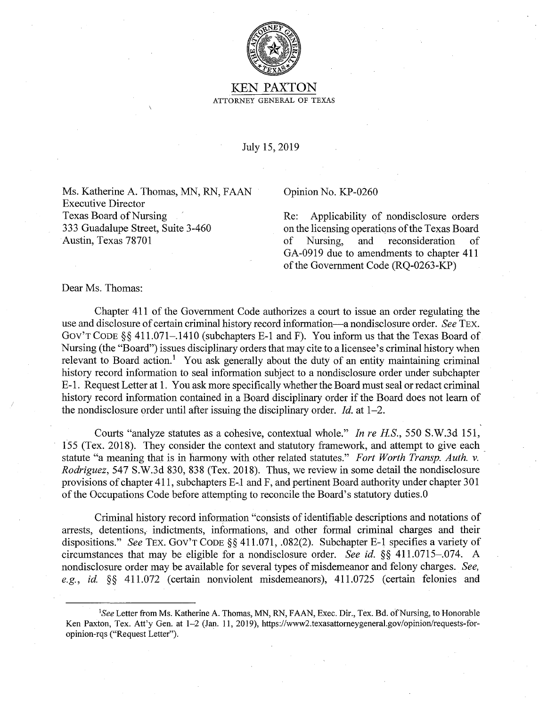

## KEN PAXTON ATTORNEY GENERAL OF TEXAS

July 15, 2019

Ms. Katherine A. Thomas, MN, RN, FAAN Executive Director Texas Board of Nursing 333 Guadalupe Street, Suite 3-460 Austin, Texas 78701

## Opinion No. KP-0260

Re: Applicability of nondisclosure orders on the licensing operations of the Texas Board of Nursing, and reconsideration of GA-0919 due to amendments to chapter 411 of the Government Code (RQ-0263-KP)

## Dear Ms. Thomas:

Chapter 411 of the Government Code authorizes a court to issue an order regulating the use and disclosure of certain criminal history record information-a nondisclosure order. *See* TEX. Gov'T CODE§§ 411.071-.1410 (subchapters E-1 and F). You inform us that the Texas Board of Nursing (the "Board") issues disciplinary orders that may cite to a licensee's criminal history when relevant to Board action.<sup>1</sup> You ask generally about the duty of an entity maintaining criminal history record information to seal information subject to a nondisclosure order under subchapter E-1. Request Letter at 1. You ask more specifically whether the Board must seal or redact criminal history record information contained in a Board disciplinary order if the Board does not learn of the nondisclosure order until after issuing the disciplinary order. *Id.* at 1-2.

Courts "analyze statutes as a cohesive, contextual whole." *In re HS.,* 550 S.W.3d 151, 155 (Tex. 2018). They consider the context and statutory framework, and attempt to give each statute "a meaning that is in harmony with other related statutes." *Fort Worth Transp. Auth. v. Rodriguez,* 547 S.W.3d 830, 838 (Tex. 2018). Thus, we review in some detail the nondisclosure provisions of chapter 411, subchapters E-.1 and F, and pertinent Board authority under chapter 301 of the Occupations Code before attempting to reconcile the Board's statutory duties.0

Criminal history record information "consists of identifiable descriptions and notations of arrests, detentions, indictments, informations, and other formal criminal charges and their dispositions." *See* TEX. Gov'T CODE§§ 411.071, .082(2). Subchapter E-1 specifies a variety of circumstances that may be eligible for a nondisclosure order. *See id.* §§ 411.0715-.074. A nondisclosure order may be available for several types of misdemeanor and felony charges. *See, e.g., id* §§ 411.072 (certain nonviolent misdemeanors), 411.0725 (certain felonies and

<sup>&</sup>lt;sup>1</sup>See Letter from Ms. Katherine A. Thomas, MN, RN, FAAN, Exec. Dir., Tex. Bd. of Nursing, to Honorable Ken Paxton, Tex. Att'y Gen. at 1-2 (Jan. 11, 2019), https://www2.texasattomeygeneral.gov/opinion/requests-foropinion-rqs ("Request Letter").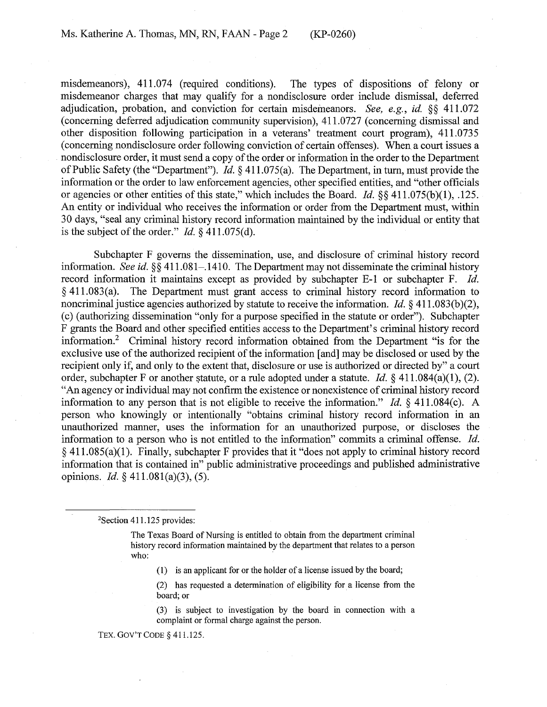misdemeanors), 411.074 (required conditions). The types of dispositions of felony or misdemeanor charges that may qualify for a nondisclosure order include dismissal, deferred adjudication, probation, and conviction for certain misdemeanors. *See, e.g., id.* §§ 411.072 (concerning deferred adjudication community supervision), 411.0727 (concerning dismissal and other disposition following participation in a veterans' treatment court program), 411.0735 ( concerning nondisclosure order following conviction of certain offenses). When a court issues a nondisclosure order, it must send a copy of the order or information in the order to the Department of Public Safety (the "Department"). *Id.§* 41 l.075(a). The Department, in tum, must provide the information or the order to law enforcement agencies, other specified entities, and "other officials or agencies or other entities of this state," which includes the Board. *Id.* §§ 41 l.075(b)(l), .125. An entity or individual who receives the information or order from the Department must, within 30 days, "seal any criminal history record information maintained by the individual or entity that is the subject of the order." *Id.*  $\S$  411.075(d).

Subchapter F governs the dissemination, use, and disclosure of criminal history record information. *See id.* §§ 411.081–.1410. The Department may not disseminate the criminal history record information it maintains except as provided by subchapter E-1 or subchapter F. *Id.*  § 41 l.083(a). The Department must grant access to criminal history record information to noncriminal justice agencies authorized by statute to receive the information. *Id.* § 411.083(b)(2), ( c) ( authorizing dissemination "only for a purpose specified in the statute or order"). Subchapter F grants the Board and other specified entities access to the Department's criminal history record information.<sup>2</sup> Criminal history record information obtained from the Department "is for the exclusive use of the authorized recipient of the information [ and] may be disclosed or used by the recipient only if, and only to the extent that, disclosure or use is authorized or directed by" a court order, subchapter F or another statute, or a rule adopted under a statute. *Id.* § 411.084(a)(1), (2). "An agency or individual may not confirm the existence or nonexistence of criminal history record information to any person that is not eligible to receive the information." *Id.*  $\frac{1}{2}$  411.084(c). A person who knowingly or intentionally "obtains criminal history record information in an unauthorized manner, uses the information for an unauthorized purpose, or discloses the information to a person who is not entitled to the information" commits a criminal offense. *Id.*  § 41 l.085(a)(l). Finally, subchapter F provides that it "does not apply to criminal history record information that is contained in" public administrative proceedings and published administrative opinions. *Id.* § 411.081(a)(3), (5).

<sup>2</sup>Section 411.125 provides:

The Texas Board of Nursing is entitled to obtain from the department criminal history record information maintained by the department that relates to a person who:

(1) is an applicant for or the holder of a license issued by the board;

(2) has requested a determination of eligibility for a license from the board; or

(3) is subject to investigation by the board in connection with a complaint or formal charge against the person.

TEX. GOV'T CODE § 411.125.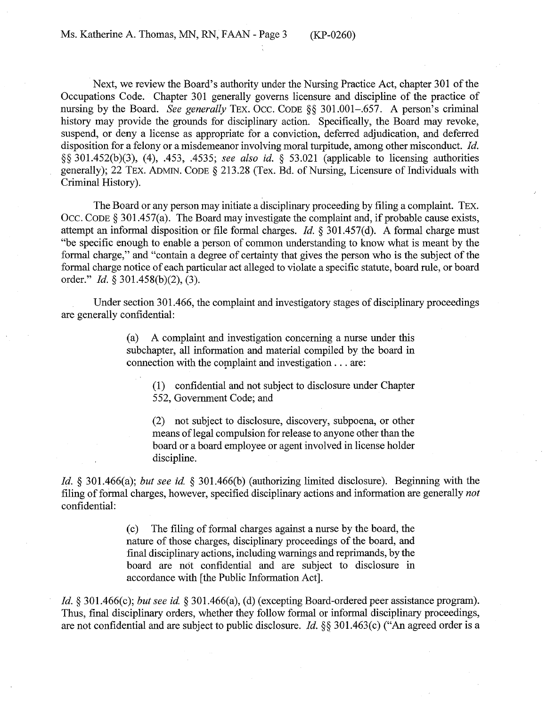Next, we review the Board's authority under the Nursing Practice Act, chapter 301 of the Occupations Code. Chapter 301 generally governs licensure and discipline of the practice of nursing by the Board. *See generally* TEX. Occ. CODE §§ 301.001-.657. A person's criminal history may provide the grounds for disciplinary action. Specifically, the Board may revoke, suspend, or deny a license as appropriate for a conviction, deferred adjudication, and deferred disposition for a felony or a misdemeanor involving moral turpitude, among other misconduct. *Id.*  §§ 301.452(b)(3), (4), .453, .4535; *see also id.* § 53.021 (applicable to licensing authorities generally); 22 TEX. ADMIN. CODE§ 213.28 (Tex. Bd. of Nursing, Licensure of Individuals with Criminal History).

The Board or any person may initiate a disciplinary proceeding by filing a complaint. TEX. OCC. CODE  $\S$  301.457(a). The Board may investigate the complaint and, if probable cause exists, attempt an informal disposition or file formal charges. *Id.* § 301.457(d). A formal charge must "be specific enough to enable a person of common understanding to know what is meant by the formal charge," and "contain a degree of certainty that gives the person who is the subject of the formal charge notice of each particular act alleged to violate a specific statute, board rule, or board order." *Id.* § 301.458(b)(2), (3).

Under section 301.466, the complaint and investigatory stages of disciplinary proceedings are generally confidential:

> (a) A complaint and investigation concerning a nurse under this subchapter, all information and material compiled by the board in connection with the complaint and investigation  $\dots$  are:

(1) confidential and not subject to disclosure under Chapter 552, Government Code; and

(2) not subject to disclosure, discovery, subpoena, or other means of legal compulsion for release to anyone other than the board or a board employee or agent involved in license holder discipline.

*Id.* § 301.466(a); *but see id.* § 301.466(b) (authorizing limited disclosure). Beginning with the filing of formal charges, however, specified disciplinary actions and information are generally *not*  confidential:

> ( c) The filing of formal charges against a nurse by the board, the nature of those charges, disciplinary proceedings of the board, and final disciplinary actions, including warnings and reprimands, by the board are not confidential and are subject to disclosure in accordance with [the Public Information Act].

*Id.§* 301.466(c); *but see id.* § 301.466(a), (d) (excepting Board-ordered peer assistance program). Thus, final disciplinary orders, whether they follow formal or informal disciplinary proceedings, are not confidential and are subject to public disclosure. *Id.§§* 301.463(c) ("An agreed order is a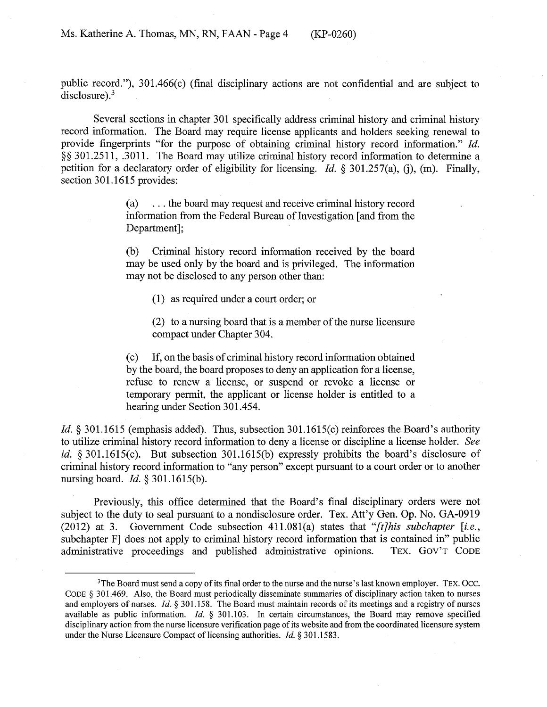public record."), 301.466(c) (final disciplinary actions are not confidential and are subject to  $disclosure).$ <sup>3</sup>

Several sections in chapter 301 specifically address criminal history and criminal history record information. The Board may require license applicants and holders seeking renewal to provide fingerprints "for the purpose of obtaining criminal history record information." *Id.*  §§ 301.2511, .3011. The Board may utilize criminal history record information to determine a petition for a declaratory order of eligibility for licensing. *Id.* § 301.257(a), (j), (m). Finally, section 301.1615 provides:

> (a) ... the board may request and receive criminal history record information from the Federal Bureau of Investigation [and from the Department];

> (b) Criminal history record information received by the board may be used only by the board and is privileged. The information may not be disclosed to any person other than:

(1) as required under a court order; or

(2) to a nursing board that is a member of the nurse licensure compact under Chapter 304.

( c) If, on the basis of criminal history record information obtained by the board, the board proposes to deny an application for a license, refuse to renew a license, or suspend or revoke a license or temporary permit, the applicant or license holder is entitled to a hearing under Section 301.454.

*Id.* § 301.1615 (emphasis added). Thus, subsection 301.1615(c) reinforces the Board's authority to utilize criminal history record information to deny a license or discipline a license holder. *See id.* § 301.1615(c). But subsection 301.1615(b) expressly prohibits the board's disclosure of criminal history record information to "any person" except pursuant to a court order or to another nursing board. *Id.§* 301.1615(b).

Previously, this office determined that the Board's final disciplinary orders were not subject to the duty to seal pursuant to a nondisclosure order. Tex. Att'y Gen. Op. No. GA-0919 (2012) at 3. Government Code subsection 411.081(a) states that *"[t]his subchapter [i.e.,*  subchapter F] does not apply to criminal history record information that is contained in" public administrative proceedings and published administrative opinions. TEX. Gov'T CODE

<sup>&</sup>lt;sup>3</sup>The Board must send a copy of its final order to the nurse and the nurse's last known employer. TEX. Occ. CODE § 301.469. Also, the Board must periodically disseminate summaries of disciplinary action taken to nurses and employers of nurses. *Id.§* 301.158. The Board must maintain records of its meetings and a registry of nurses available as public information. *Id.* § 301.103. In certain circumstances, the Board may remove specified disciplinary action from the nurse licensure verification page of its website and from the coordinated licensure system under the Nurse Licensure Compact of licensing authorities. *Id.* § 301.1583.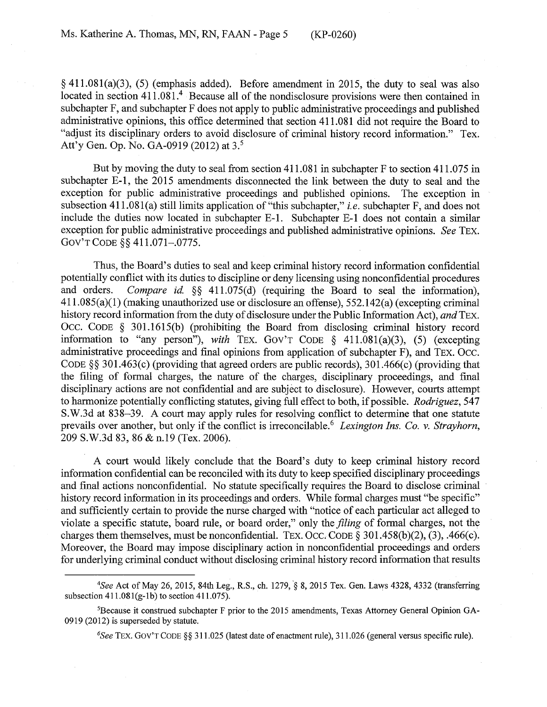$\S$  411.081(a)(3), (5) (emphasis added). Before amendment in 2015, the duty to seal was also located in section  $411.081$ .<sup>4</sup> Because all of the nondisclosure provisions were then contained in subchapter F, and subchapter F does not apply to public administrative proceedings and published administrative opinions, this office determined that section 411.081 did not require the Board to "adjust its disciplinary orders to avoid disclosure of criminal history record information." Tex. Att'y Gen. Op. No. GA-0919 (2012) at 3. <sup>5</sup>

But by moving the duty to seal from section  $411.081$  in subchapter F to section  $411.075$  in subchapter E-1, the 2015 amendments disconnected the link between the duty to seal and the exception for public administrative proceedings and published opinions. The exception in subsection 41 l.081(a) still limits application of "this subchapter," *i.e.* subchapter F, and does not include the duties now located in subchapter E-1. Subchapter E-1 does not contain a similar exception for public administrative proceedings and published administrative opinions. *See* TEX. Gov'T CODE§§ 411.071-.0775.

Thus, the Board's duties to seal and keep criminal history record information confidential potentially conflict with its duties to discipline or deny licensing using nonconfidential procedures and orders. *Compare id.* §§ 411.075(d) (requiring the Board to seal the information), 41 l.085(a)(l) (making unauthorized use or disclosure an offense), 552.142(a) (excepting criminal history record information from the duty of disclosure under the Public Information Act), *and* TEX. 0cc. CODE § 301.1615(b) (prohibiting the Board from disclosing criminal history record information to "any person"), *with* TEX. GOV'T CODE  $\S$  411.081(a)(3), (5) (excepting administrative proceedings and final opinions from application of subchapter F), and TEX. 0cc. CODE§§ 301.463(c) (providing that agreed orders are public records), 301.466(c) (providing that the filing of formal charges, the nature of the charges, disciplinary proceedings, and final disciplinary actions are not confidential and are subject to disclosure). However, courts attempt to harmonize potentially conflicting statutes, giving full effect to both, if possible. *Rodriguez*, 547 S.W.3d at 838-39. A court may apply rules for resolving conflict to determine that one statute prevails over another, but only if the conflict is irreconcilable.<sup>6</sup> Lexington Ins. Co. v. Strayhorn, 209 S.W.3d 83, 86 & n.19 (Tex. 2006).

A court would likely conclude that the Board's duty to keep criminal history record information confidential can be reconciled with its duty to keep specified disciplinary proceedings and final actions nonconfidential. No statute specifically requires the Board to disclose criminal history record information in its proceedings and orders. While formal charges must "be specific" and sufficiently certain to provide the nurse charged with "notice of each particular act alleged to violate a specific statute, board rule, or board order," only the *filing* of formal charges, not the charges them themselves, must be nonconfidential. TEX. Occ. CODE  $\S 301.458(b)(2)$ , (3), .466(c). Moreover, the Board may impose disciplinary action in nonconfidential proceedings and orders for underlying criminal conduct without disclosing criminal history record information that results

<sup>&</sup>lt;sup>4</sup>See Act of May 26, 2015, 84th Leg., R.S., ch. 1279, § 8, 2015 Tex. Gen. Laws 4328, 4332 (transferring subsection  $411.081(g-1b)$  to section  $411.075$ ).

<sup>5</sup> Because it construed subchapter F prior to the 2015 amendments, Texas Attorney General Opinion GA-0919 (2012) is superseded by statute.

*<sup>6</sup> See* TEX. Gov'T CODE§§ 311.025 (latest date of enactment rule), 311.026 (general versus specific rule).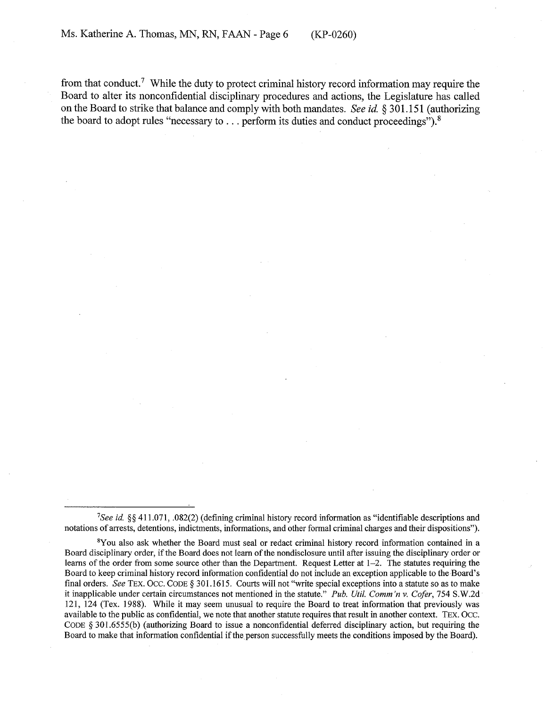from that conduct.<sup>7</sup> While the duty to protect criminal history record information may require the Board to alter its nonconfidential disciplinary procedures and actions, the Legislature has called on the Board to strike that balance and comply with both mandates. *See id.* § 301.151 (authorizing the board to adopt rules "necessary to  $\dots$  perform its duties and conduct proceedings").<sup>8</sup>

<sup>7</sup> See *id.* §§ 411.071, .082(2) (defining criminal history record information as "identifiable descriptions and notations of arrests, detentions, indictments, informations, and other formal criminal charges and their dispositions").

<sup>&</sup>lt;sup>8</sup>You also ask whether the Board must seal or redact criminal history record information contained in a Board disciplinary order, if the Board does not learn of the nondisclosure until after issuing the disciplinary order or learns of the order from some source other than the Department. Request Letter at 1-2. The statutes requiring the Board to keep criminal history record information confidential do not include an exception applicable to the Board's final orders. *See* TEX. 0cc. CODE§ 301.1615. Courts will not "write special exceptions into a statute so as to make it inapplicable under certain circumstances not mentioned in the statute." *Pub. Util. Comm 'n v. Cofer,* 754 S.W.2d 121, 124 (Tex. 1988). While it may seem unusual to require the Board to treat information that previously was available to the public as confidential, we note that another statute requires that result in another context. TEX. 0cc. CODE § 301.6555(b) (authorizing Board to issue a nonconfidential deferred disciplinary action, but requiring the Board to make that information confidential if the person successfully meets the conditions imposed by the Board).